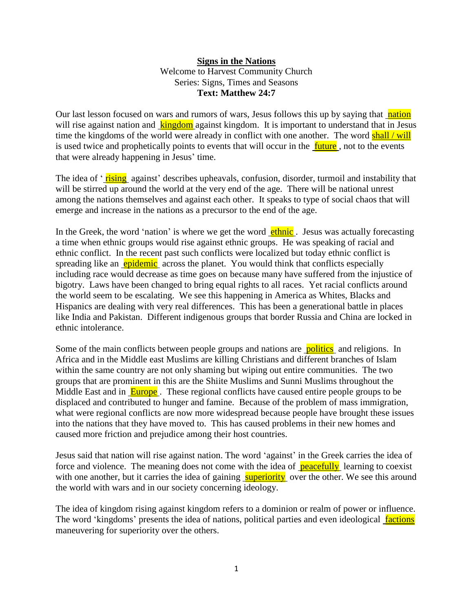## **Signs in the Nations** Welcome to Harvest Community Church Series: Signs, Times and Seasons **Text: Matthew 24:7**

Our last lesson focused on wars and rumors of wars, Jesus follows this up by saying that nation will rise against nation and kingdom against kingdom. It is important to understand that in Jesus time the kingdoms of the world were already in conflict with one another. The word shall / will is used twice and prophetically points to events that will occur in the **future**, not to the events that were already happening in Jesus' time.

The idea of 'rising against' describes upheavals, confusion, disorder, turmoil and instability that will be stirred up around the world at the very end of the age. There will be national unrest among the nations themselves and against each other. It speaks to type of social chaos that will emerge and increase in the nations as a precursor to the end of the age.

In the Greek, the word 'nation' is where we get the word **ethnic**. Jesus was actually forecasting a time when ethnic groups would rise against ethnic groups. He was speaking of racial and ethnic conflict. In the recent past such conflicts were localized but today ethnic conflict is spreading like an **epidemic** across the planet. You would think that conflicts especially including race would decrease as time goes on because many have suffered from the injustice of bigotry. Laws have been changed to bring equal rights to all races. Yet racial conflicts around the world seem to be escalating. We see this happening in America as Whites, Blacks and Hispanics are dealing with very real differences. This has been a generational battle in places like India and Pakistan. Different indigenous groups that border Russia and China are locked in ethnic intolerance.

Some of the main conflicts between people groups and nations are **politics** and religions. In Africa and in the Middle east Muslims are killing Christians and different branches of Islam within the same country are not only shaming but wiping out entire communities. The two groups that are prominent in this are the Shiite Muslims and Sunni Muslims throughout the Middle East and in **Europe**. These regional conflicts have caused entire people groups to be displaced and contributed to hunger and famine. Because of the problem of mass immigration, what were regional conflicts are now more widespread because people have brought these issues into the nations that they have moved to. This has caused problems in their new homes and caused more friction and prejudice among their host countries.

Jesus said that nation will rise against nation. The word 'against' in the Greek carries the idea of force and violence. The meaning does not come with the idea of peacefully learning to coexist with one another, but it carries the idea of gaining superiority over the other. We see this around the world with wars and in our society concerning ideology.

The idea of kingdom rising against kingdom refers to a dominion or realm of power or influence. The word 'kingdoms' presents the idea of nations, political parties and even ideological factions maneuvering for superiority over the others.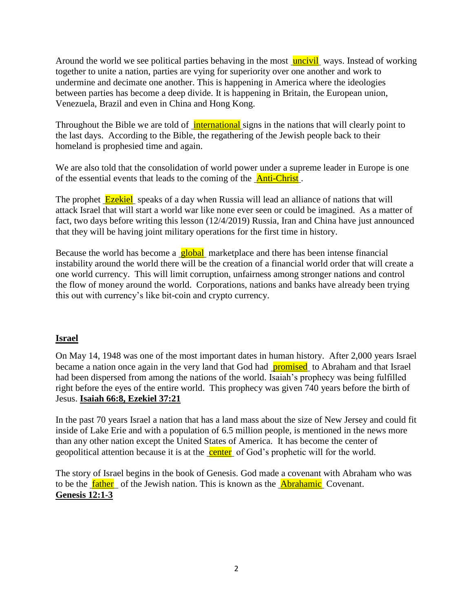Around the world we see political parties behaving in the most uncivil ways. Instead of working together to unite a nation, parties are vying for superiority over one another and work to undermine and decimate one another. This is happening in America where the ideologies between parties has become a deep divide. It is happening in Britain, the European union, Venezuela, Brazil and even in China and Hong Kong.

Throughout the Bible we are told of international signs in the nations that will clearly point to the last days. According to the Bible, the regathering of the Jewish people back to their homeland is prophesied time and again.

We are also told that the consolidation of world power under a supreme leader in Europe is one of the essential events that leads to the coming of the **Anti-Christ**.

The prophet **Ezekiel** speaks of a day when Russia will lead an alliance of nations that will attack Israel that will start a world war like none ever seen or could be imagined. As a matter of fact, two days before writing this lesson (12/4/2019) Russia, Iran and China have just announced that they will be having joint military operations for the first time in history.

Because the world has become a **global** marketplace and there has been intense financial instability around the world there will be the creation of a financial world order that will create a one world currency. This will limit corruption, unfairness among stronger nations and control the flow of money around the world. Corporations, nations and banks have already been trying this out with currency's like bit-coin and crypto currency.

## **Israel**

On May 14, 1948 was one of the most important dates in human history. After 2,000 years Israel became a nation once again in the very land that God had **promised** to Abraham and that Israel had been dispersed from among the nations of the world. Isaiah's prophecy was being fulfilled right before the eyes of the entire world. This prophecy was given 740 years before the birth of Jesus. **Isaiah 66:8, Ezekiel 37:21**

In the past 70 years Israel a nation that has a land mass about the size of New Jersey and could fit inside of Lake Erie and with a population of 6.5 million people, is mentioned in the news more than any other nation except the United States of America. It has become the center of geopolitical attention because it is at the center of God's prophetic will for the world.

The story of Israel begins in the book of Genesis. God made a covenant with Abraham who was to be the **father** of the Jewish nation. This is known as the **Abrahamic** Covenant. **Genesis 12:1-3**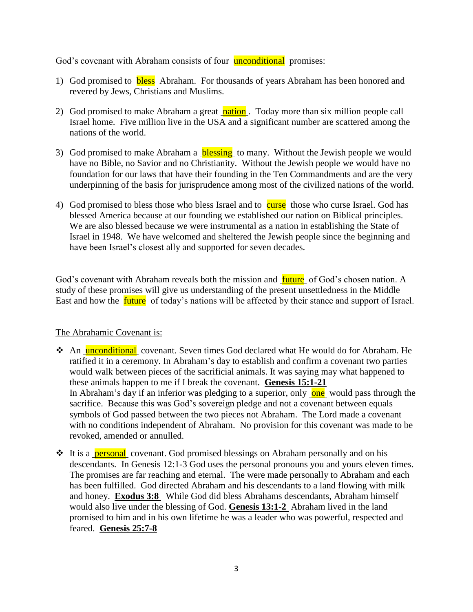God's covenant with Abraham consists of four **unconditional** promises:

- 1) God promised to **bless** Abraham. For thousands of years Abraham has been honored and revered by Jews, Christians and Muslims.
- 2) God promised to make Abraham a great nation. Today more than six million people call Israel home. Five million live in the USA and a significant number are scattered among the nations of the world.
- 3) God promised to make Abraham a **blessing** to many. Without the Jewish people we would have no Bible, no Savior and no Christianity. Without the Jewish people we would have no foundation for our laws that have their founding in the Ten Commandments and are the very underpinning of the basis for jurisprudence among most of the civilized nations of the world.
- 4) God promised to bless those who bless Israel and to curse those who curse Israel. God has blessed America because at our founding we established our nation on Biblical principles. We are also blessed because we were instrumental as a nation in establishing the State of Israel in 1948. We have welcomed and sheltered the Jewish people since the beginning and have been Israel's closest ally and supported for seven decades.

God's covenant with Abraham reveals both the mission and **future** of God's chosen nation. A study of these promises will give us understanding of the present unsettledness in the Middle East and how the **future** of today's nations will be affected by their stance and support of Israel.

## The Abrahamic Covenant is:

- \* An unconditional covenant. Seven times God declared what He would do for Abraham. He ratified it in a ceremony. In Abraham's day to establish and confirm a covenant two parties would walk between pieces of the sacrificial animals. It was saying may what happened to these animals happen to me if I break the covenant. **Genesis 15:1-21** In Abraham's day if an inferior was pledging to a superior, only one would pass through the sacrifice. Because this was God's sovereign pledge and not a covenant between equals symbols of God passed between the two pieces not Abraham. The Lord made a covenant with no conditions independent of Abraham. No provision for this covenant was made to be revoked, amended or annulled.
- **◆** It is a **personal** covenant. God promised blessings on Abraham personally and on his descendants. In Genesis 12:1-3 God uses the personal pronouns you and yours eleven times. The promises are far reaching and eternal. The were made personally to Abraham and each has been fulfilled. God directed Abraham and his descendants to a land flowing with milk and honey. **Exodus 3:8** While God did bless Abrahams descendants, Abraham himself would also live under the blessing of God. **Genesis 13:1-2** Abraham lived in the land promised to him and in his own lifetime he was a leader who was powerful, respected and feared. **Genesis 25:7-8**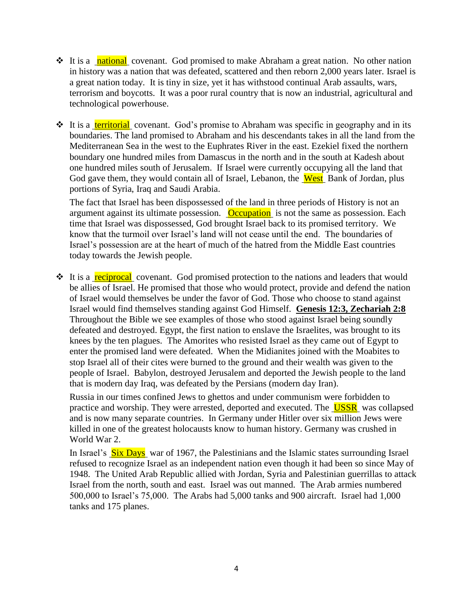- **◆** It is a national covenant. God promised to make Abraham a great nation. No other nation in history was a nation that was defeated, scattered and then reborn 2,000 years later. Israel is a great nation today. It is tiny in size, yet it has withstood continual Arab assaults, wars, terrorism and boycotts. It was a poor rural country that is now an industrial, agricultural and technological powerhouse.
- $\cdot \cdot$  It is a territorial covenant. God's promise to Abraham was specific in geography and in its boundaries. The land promised to Abraham and his descendants takes in all the land from the Mediterranean Sea in the west to the Euphrates River in the east. Ezekiel fixed the northern boundary one hundred miles from Damascus in the north and in the south at Kadesh about one hundred miles south of Jerusalem. If Israel were currently occupying all the land that God gave them, they would contain all of Israel, Lebanon, the **West** Bank of Jordan, plus portions of Syria, Iraq and Saudi Arabia.

The fact that Israel has been dispossessed of the land in three periods of History is not an argument against its ultimate possession. Occupation is not the same as possession. Each time that Israel was dispossessed, God brought Israel back to its promised territory. We know that the turmoil over Israel's land will not cease until the end. The boundaries of Israel's possession are at the heart of much of the hatred from the Middle East countries today towards the Jewish people.

 **◆** It is a reciprocal covenant. God promised protection to the nations and leaders that would be allies of Israel. He promised that those who would protect, provide and defend the nation of Israel would themselves be under the favor of God. Those who choose to stand against Israel would find themselves standing against God Himself. **Genesis 12:3, Zechariah 2:8**  Throughout the Bible we see examples of those who stood against Israel being soundly defeated and destroyed. Egypt, the first nation to enslave the Israelites, was brought to its knees by the ten plagues. The Amorites who resisted Israel as they came out of Egypt to enter the promised land were defeated. When the Midianites joined with the Moabites to stop Israel all of their cites were burned to the ground and their wealth was given to the people of Israel. Babylon, destroyed Jerusalem and deported the Jewish people to the land that is modern day Iraq, was defeated by the Persians (modern day Iran).

Russia in our times confined Jews to ghettos and under communism were forbidden to practice and worship. They were arrested, deported and executed. The **USSR** was collapsed and is now many separate countries. In Germany under Hitler over six million Jews were killed in one of the greatest holocausts know to human history. Germany was crushed in World War 2.

In Israel's Six Days war of 1967, the Palestinians and the Islamic states surrounding Israel refused to recognize Israel as an independent nation even though it had been so since May of 1948. The United Arab Republic allied with Jordan, Syria and Palestinian guerrillas to attack Israel from the north, south and east. Israel was out manned. The Arab armies numbered 500,000 to Israel's 75,000. The Arabs had 5,000 tanks and 900 aircraft. Israel had 1,000 tanks and 175 planes.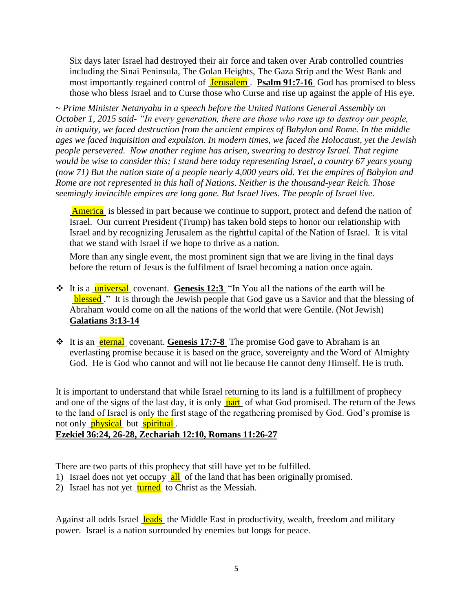Six days later Israel had destroyed their air force and taken over Arab controlled countries including the Sinai Peninsula, The Golan Heights, The Gaza Strip and the West Bank and most importantly regained control of Jerusalem . Psalm 91:7-16 God has promised to bless those who bless Israel and to Curse those who Curse and rise up against the apple of His eye.

*~ Prime Minister Netanyahu in a speech before the United Nations General Assembly on October 1, 2015 said- "In every generation, there are those who rose up to destroy our people, in antiquity, we faced destruction from the ancient empires of Babylon and Rome. In the middle ages we faced inquisition and expulsion. In modern times, we faced the Holocaust, yet the Jewish people persevered. Now another regime has arisen, swearing to destroy Israel. That regime would be wise to consider this; I stand here today representing Israel, a country 67 years young (now 71) But the nation state of a people nearly 4,000 years old. Yet the empires of Babylon and Rome are not represented in this hall of Nations. Neither is the thousand-year Reich. Those seemingly invincible empires are long gone. But Israel lives. The people of Israel live.* 

America is blessed in part because we continue to support, protect and defend the nation of Israel. Our current President (Trump) has taken bold steps to honor our relationship with Israel and by recognizing Jerusalem as the rightful capital of the Nation of Israel. It is vital that we stand with Israel if we hope to thrive as a nation.

More than any single event, the most prominent sign that we are living in the final days before the return of Jesus is the fulfilment of Israel becoming a nation once again.

- **◆** It is a **<u>universal</u>** covenant. Genesis 12:3 "In You all the nations of the earth will be blessed." It is through the Jewish people that God gave us a Savior and that the blessing of Abraham would come on all the nations of the world that were Gentile. (Not Jewish) **Galatians 3:13-14**
- **❖** It is an **eternal** covenant. Genesis 17:7-8 The promise God gave to Abraham is an everlasting promise because it is based on the grace, sovereignty and the Word of Almighty God. He is God who cannot and will not lie because He cannot deny Himself. He is truth.

It is important to understand that while Israel returning to its land is a fulfillment of prophecy and one of the signs of the last day, it is only part of what God promised. The return of the Jews to the land of Israel is only the first stage of the regathering promised by God. God's promise is not only **physical** but **spiritual**.

## **Ezekiel 36:24, 26-28, Zechariah 12:10, Romans 11:26-27**

There are two parts of this prophecy that still have yet to be fulfilled.

- 1) Israel does not yet occupy all of the land that has been originally promised.
- 2) Israel has not yet turned to Christ as the Messiah.

Against all odds Israel leads the Middle East in productivity, wealth, freedom and military power. Israel is a nation surrounded by enemies but longs for peace.